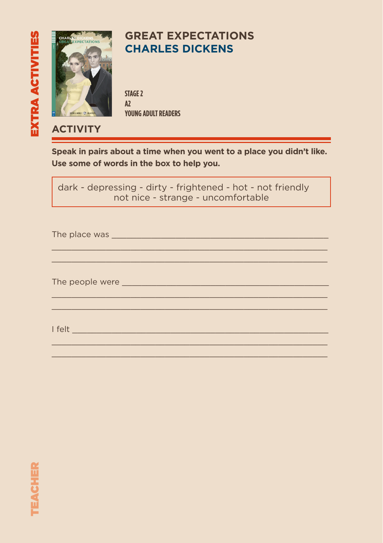

## **GREAT EXPECTATIONS CHARLES DICKENS**

**STAGE 2 A2 YOUNG ADULT READERS**

### **ACTIVITY**

**Speak in pairs about a time when you went to a place you didn't like. Use some of words in the box to help you.**

dark - depressing - dirty - frightened - hot - not friendly not nice - strange - uncomfortable

 $\mathcal{L}_\mathcal{L} = \{ \mathcal{L}_\mathcal{L} = \{ \mathcal{L}_\mathcal{L} = \{ \mathcal{L}_\mathcal{L} = \{ \mathcal{L}_\mathcal{L} = \{ \mathcal{L}_\mathcal{L} = \{ \mathcal{L}_\mathcal{L} = \{ \mathcal{L}_\mathcal{L} = \{ \mathcal{L}_\mathcal{L} = \{ \mathcal{L}_\mathcal{L} = \{ \mathcal{L}_\mathcal{L} = \{ \mathcal{L}_\mathcal{L} = \{ \mathcal{L}_\mathcal{L} = \{ \mathcal{L}_\mathcal{L} = \{ \mathcal{L}_\mathcal{$ \_\_\_\_\_\_\_\_\_\_\_\_\_\_\_\_\_\_\_\_\_\_\_\_\_\_\_\_\_\_\_\_\_\_\_\_\_\_\_\_\_\_\_\_\_\_\_\_\_\_\_\_\_\_\_\_

 $\mathcal{L}_\mathcal{L} = \{ \mathcal{L}_\mathcal{L} = \{ \mathcal{L}_\mathcal{L} = \{ \mathcal{L}_\mathcal{L} = \{ \mathcal{L}_\mathcal{L} = \{ \mathcal{L}_\mathcal{L} = \{ \mathcal{L}_\mathcal{L} = \{ \mathcal{L}_\mathcal{L} = \{ \mathcal{L}_\mathcal{L} = \{ \mathcal{L}_\mathcal{L} = \{ \mathcal{L}_\mathcal{L} = \{ \mathcal{L}_\mathcal{L} = \{ \mathcal{L}_\mathcal{L} = \{ \mathcal{L}_\mathcal{L} = \{ \mathcal{L}_\mathcal{$  $\mathcal{L}_\mathcal{L} = \{ \mathcal{L}_\mathcal{L} = \{ \mathcal{L}_\mathcal{L} = \{ \mathcal{L}_\mathcal{L} = \{ \mathcal{L}_\mathcal{L} = \{ \mathcal{L}_\mathcal{L} = \{ \mathcal{L}_\mathcal{L} = \{ \mathcal{L}_\mathcal{L} = \{ \mathcal{L}_\mathcal{L} = \{ \mathcal{L}_\mathcal{L} = \{ \mathcal{L}_\mathcal{L} = \{ \mathcal{L}_\mathcal{L} = \{ \mathcal{L}_\mathcal{L} = \{ \mathcal{L}_\mathcal{L} = \{ \mathcal{L}_\mathcal{$ 

 $\mathcal{L}_\mathcal{L} = \{ \mathcal{L}_\mathcal{L} = \{ \mathcal{L}_\mathcal{L} = \{ \mathcal{L}_\mathcal{L} = \{ \mathcal{L}_\mathcal{L} = \{ \mathcal{L}_\mathcal{L} = \{ \mathcal{L}_\mathcal{L} = \{ \mathcal{L}_\mathcal{L} = \{ \mathcal{L}_\mathcal{L} = \{ \mathcal{L}_\mathcal{L} = \{ \mathcal{L}_\mathcal{L} = \{ \mathcal{L}_\mathcal{L} = \{ \mathcal{L}_\mathcal{L} = \{ \mathcal{L}_\mathcal{L} = \{ \mathcal{L}_\mathcal{$  $\mathcal{L}_\mathcal{L} = \{ \mathcal{L}_\mathcal{L} = \{ \mathcal{L}_\mathcal{L} = \{ \mathcal{L}_\mathcal{L} = \{ \mathcal{L}_\mathcal{L} = \{ \mathcal{L}_\mathcal{L} = \{ \mathcal{L}_\mathcal{L} = \{ \mathcal{L}_\mathcal{L} = \{ \mathcal{L}_\mathcal{L} = \{ \mathcal{L}_\mathcal{L} = \{ \mathcal{L}_\mathcal{L} = \{ \mathcal{L}_\mathcal{L} = \{ \mathcal{L}_\mathcal{L} = \{ \mathcal{L}_\mathcal{L} = \{ \mathcal{L}_\mathcal{$ 

The place was all the place was all the place was all the place of  $\sim$ 

The people were \_\_\_\_\_\_\_\_\_\_\_\_\_\_\_\_\_\_\_\_\_\_\_\_\_\_\_\_\_\_\_\_\_\_\_\_\_\_\_\_\_\_

 $\blacksquare$  felt $\blacksquare$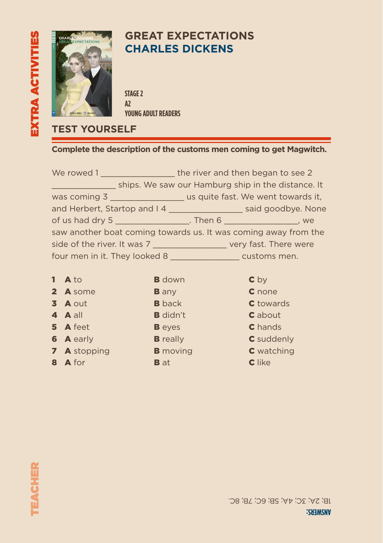

## **GREAT EXPECTATIONS CHARLES DICKENS**

**STAGE 2 A2 YOUNG ADULT READERS**

### **TEST YOURSELF**

#### **Complete the description of the customs men coming to get Magwitch.**

| We rowed 1                  | the river and then began to see 2                                           |  |
|-----------------------------|-----------------------------------------------------------------------------|--|
|                             | ships. We saw our Hamburg ship in the distance. It                          |  |
|                             | was coming 3 ___________________________ us quite fast. We went towards it, |  |
|                             | and Herbert, Startop and I 4 ________________________ said goodbye. None    |  |
|                             | of us had dry 5 _______________________. Then 6 _______________________, we |  |
|                             |                                                                             |  |
|                             | saw another boat coming towards us. It was coming away from the             |  |
| side of the river. It was 7 | very fast. There were                                                       |  |

| $1$ A to         | <b>B</b> down   | c <sub>by</sub>   |
|------------------|-----------------|-------------------|
| 2 A some         | <b>B</b> any    | <b>C</b> none     |
| 3 A out          | <b>B</b> back   | <b>C</b> towards  |
| 4 A all          | <b>B</b> didn't | <b>C</b> about    |
| 5 A feet         | <b>B</b> eyes   | <b>C</b> hands    |
| <b>6 A</b> early | <b>B</b> really | C suddenly        |
| 7 A stopping     | <b>B</b> moving | <b>C</b> watching |
| 8 A for          | <b>B</b> at     | <b>C</b> like     |
|                  |                 |                   |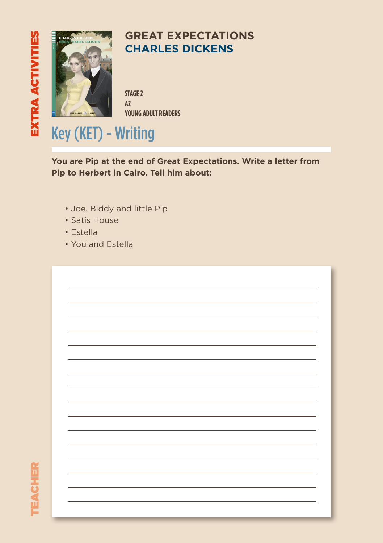

## **GREAT EXPECTATIONS CHARLES DICKENS**

**STAGE 2 A2 YOUNG ADULT READERS**

# Key (KET) - Writing

**You are Pip at the end of Great Expectations. Write a letter from Pip to Herbert in Cairo. Tell him about:**

- Joe, Biddy and little Pip
- Satis House
- Estella
- You and Estella